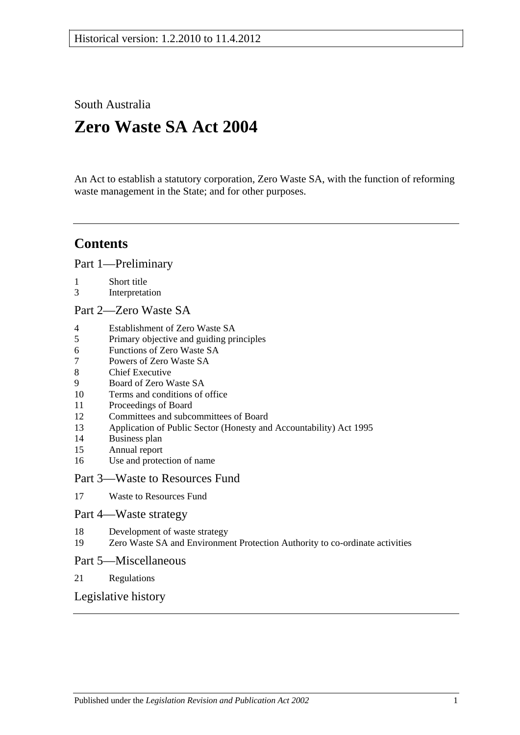South Australia

# **Zero Waste SA Act 2004**

An Act to establish a statutory corporation, Zero Waste SA, with the function of reforming waste management in the State; and for other purposes.

## **Contents**

[Part 1—Preliminary](#page-1-0)

- 1 [Short title](#page-1-1)
- 3 [Interpretation](#page-1-2)
- [Part 2—Zero Waste SA](#page-1-3)
- 4 [Establishment of Zero Waste SA](#page-1-4)
- 5 [Primary objective and guiding principles](#page-2-0)
- 6 [Functions of Zero Waste SA](#page-2-1)
- 7 [Powers of Zero Waste SA](#page-3-0)
- 8 [Chief Executive](#page-3-1)
- 9 [Board of Zero Waste SA](#page-3-2)
- 10 [Terms and conditions of office](#page-4-0)
- 11 [Proceedings of Board](#page-5-0)
- 12 [Committees and subcommittees of Board](#page-5-1)
- 13 [Application of Public Sector \(Honesty and Accountability\) Act 1995](#page-6-0)
- 14 [Business plan](#page-6-1)
- 15 [Annual report](#page-6-2)
- 16 [Use and protection of name](#page-7-0)

#### [Part 3—Waste to Resources Fund](#page-8-0)

17 [Waste to Resources Fund](#page-8-1)

#### [Part 4—Waste strategy](#page-8-2)

- 18 [Development of waste strategy](#page-8-3)
- 19 [Zero Waste SA and Environment Protection Authority to co-ordinate activities](#page-9-0)

#### [Part 5—Miscellaneous](#page-10-0)

21 [Regulations](#page-10-1)

#### [Legislative history](#page-11-0)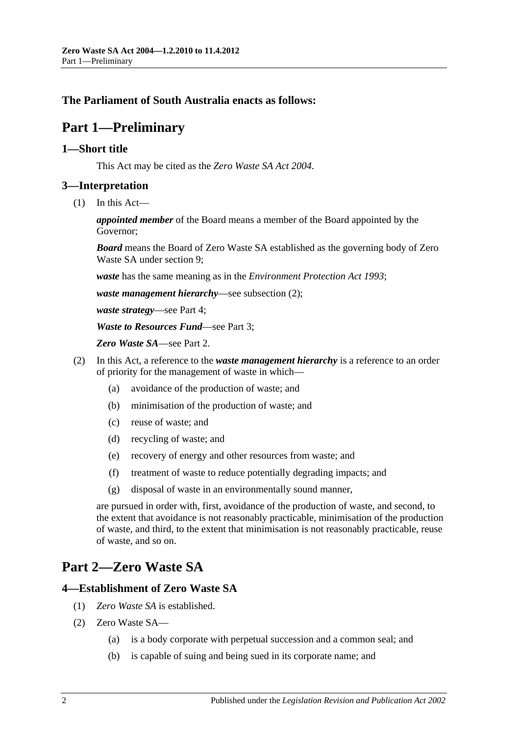### <span id="page-1-0"></span>**The Parliament of South Australia enacts as follows:**

# **Part 1—Preliminary**

#### <span id="page-1-1"></span>**1—Short title**

This Act may be cited as the *Zero Waste SA Act 2004*.

#### <span id="page-1-2"></span>**3—Interpretation**

(1) In this Act—

*appointed member* of the Board means a member of the Board appointed by the Governor;

*Board* means the Board of Zero Waste SA established as the governing body of Zero Waste SA under [section](#page-3-2) 9;

*waste* has the same meaning as in the *[Environment Protection Act](http://www.legislation.sa.gov.au/index.aspx?action=legref&type=act&legtitle=Environment%20Protection%20Act%201993) 1993*;

*waste management hierarchy*—see [subsection](#page-1-5) (2);

*waste strategy*—see [Part 4;](#page-8-2)

*Waste to Resources Fund*—see [Part 3;](#page-8-0)

*Zero Waste SA*—see [Part 2.](#page-1-3)

- <span id="page-1-5"></span>(2) In this Act, a reference to the *waste management hierarchy* is a reference to an order of priority for the management of waste in which—
	- (a) avoidance of the production of waste; and
	- (b) minimisation of the production of waste; and
	- (c) reuse of waste; and
	- (d) recycling of waste; and
	- (e) recovery of energy and other resources from waste; and
	- (f) treatment of waste to reduce potentially degrading impacts; and
	- (g) disposal of waste in an environmentally sound manner,

are pursued in order with, first, avoidance of the production of waste, and second, to the extent that avoidance is not reasonably practicable, minimisation of the production of waste, and third, to the extent that minimisation is not reasonably practicable, reuse of waste, and so on.

# <span id="page-1-3"></span>**Part 2—Zero Waste SA**

#### <span id="page-1-4"></span>**4—Establishment of Zero Waste SA**

- (1) *Zero Waste SA* is established.
- (2) Zero Waste SA—
	- (a) is a body corporate with perpetual succession and a common seal; and
	- (b) is capable of suing and being sued in its corporate name; and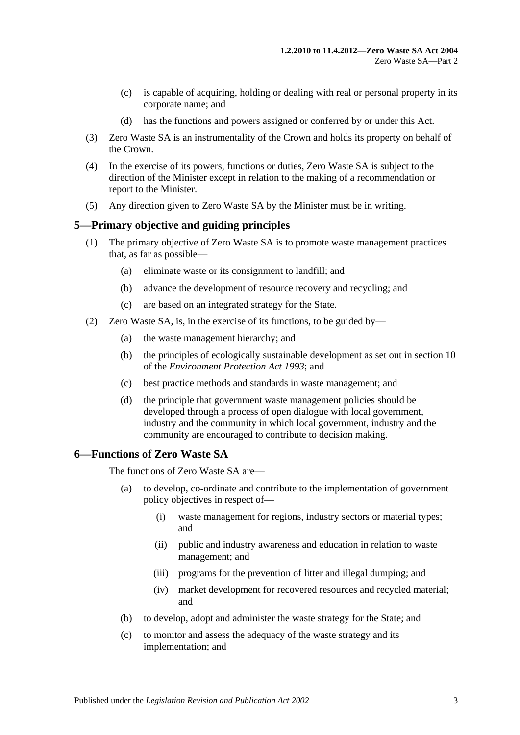- (c) is capable of acquiring, holding or dealing with real or personal property in its corporate name; and
- (d) has the functions and powers assigned or conferred by or under this Act.
- (3) Zero Waste SA is an instrumentality of the Crown and holds its property on behalf of the Crown.
- (4) In the exercise of its powers, functions or duties, Zero Waste SA is subject to the direction of the Minister except in relation to the making of a recommendation or report to the Minister.
- (5) Any direction given to Zero Waste SA by the Minister must be in writing.

#### <span id="page-2-0"></span>**5—Primary objective and guiding principles**

- (1) The primary objective of Zero Waste SA is to promote waste management practices that, as far as possible—
	- (a) eliminate waste or its consignment to landfill; and
	- (b) advance the development of resource recovery and recycling; and
	- (c) are based on an integrated strategy for the State.
- (2) Zero Waste SA, is, in the exercise of its functions, to be guided by—
	- (a) the waste management hierarchy; and
	- (b) the principles of ecologically sustainable development as set out in section 10 of the *[Environment Protection Act](http://www.legislation.sa.gov.au/index.aspx?action=legref&type=act&legtitle=Environment%20Protection%20Act%201993) 1993*; and
	- (c) best practice methods and standards in waste management; and
	- (d) the principle that government waste management policies should be developed through a process of open dialogue with local government, industry and the community in which local government, industry and the community are encouraged to contribute to decision making.

#### <span id="page-2-1"></span>**6—Functions of Zero Waste SA**

The functions of Zero Waste SA are—

- (a) to develop, co-ordinate and contribute to the implementation of government policy objectives in respect of—
	- (i) waste management for regions, industry sectors or material types; and
	- (ii) public and industry awareness and education in relation to waste management; and
	- (iii) programs for the prevention of litter and illegal dumping; and
	- (iv) market development for recovered resources and recycled material; and
- (b) to develop, adopt and administer the waste strategy for the State; and
- (c) to monitor and assess the adequacy of the waste strategy and its implementation; and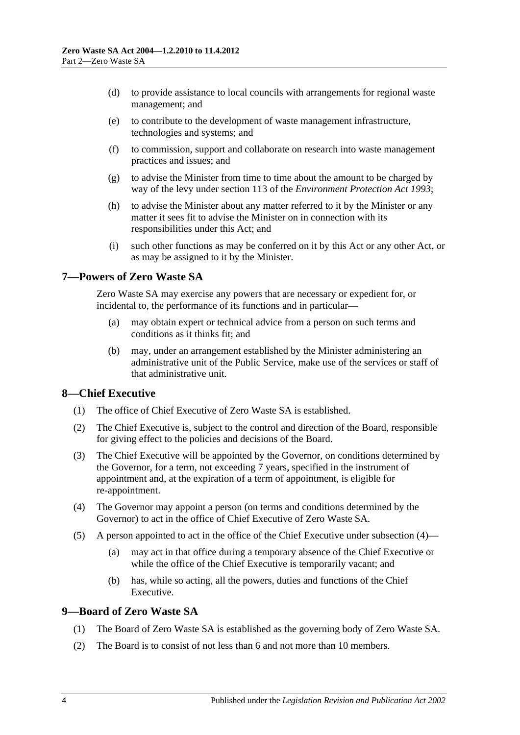- (d) to provide assistance to local councils with arrangements for regional waste management; and
- (e) to contribute to the development of waste management infrastructure, technologies and systems; and
- (f) to commission, support and collaborate on research into waste management practices and issues; and
- (g) to advise the Minister from time to time about the amount to be charged by way of the levy under section 113 of the *[Environment Protection Act](http://www.legislation.sa.gov.au/index.aspx?action=legref&type=act&legtitle=Environment%20Protection%20Act%201993) 1993*;
- (h) to advise the Minister about any matter referred to it by the Minister or any matter it sees fit to advise the Minister on in connection with its responsibilities under this Act; and
- (i) such other functions as may be conferred on it by this Act or any other Act, or as may be assigned to it by the Minister.

#### <span id="page-3-0"></span>**7—Powers of Zero Waste SA**

Zero Waste SA may exercise any powers that are necessary or expedient for, or incidental to, the performance of its functions and in particular—

- (a) may obtain expert or technical advice from a person on such terms and conditions as it thinks  $fit$  and
- (b) may, under an arrangement established by the Minister administering an administrative unit of the Public Service, make use of the services or staff of that administrative unit.

#### <span id="page-3-1"></span>**8—Chief Executive**

- (1) The office of Chief Executive of Zero Waste SA is established.
- (2) The Chief Executive is, subject to the control and direction of the Board, responsible for giving effect to the policies and decisions of the Board.
- (3) The Chief Executive will be appointed by the Governor, on conditions determined by the Governor, for a term, not exceeding 7 years, specified in the instrument of appointment and, at the expiration of a term of appointment, is eligible for re-appointment.
- <span id="page-3-3"></span>(4) The Governor may appoint a person (on terms and conditions determined by the Governor) to act in the office of Chief Executive of Zero Waste SA.
- (5) A person appointed to act in the office of the Chief Executive under [subsection](#page-3-3) (4)—
	- (a) may act in that office during a temporary absence of the Chief Executive or while the office of the Chief Executive is temporarily vacant; and
	- (b) has, while so acting, all the powers, duties and functions of the Chief Executive.

### <span id="page-3-2"></span>**9—Board of Zero Waste SA**

- (1) The Board of Zero Waste SA is established as the governing body of Zero Waste SA.
- (2) The Board is to consist of not less than 6 and not more than 10 members.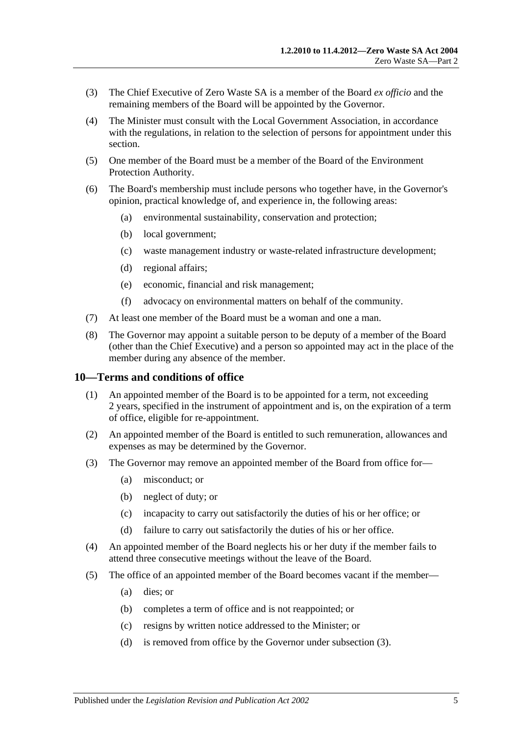- (3) The Chief Executive of Zero Waste SA is a member of the Board *ex officio* and the remaining members of the Board will be appointed by the Governor.
- (4) The Minister must consult with the Local Government Association, in accordance with the regulations, in relation to the selection of persons for appointment under this section.
- (5) One member of the Board must be a member of the Board of the Environment Protection Authority.
- (6) The Board's membership must include persons who together have, in the Governor's opinion, practical knowledge of, and experience in, the following areas:
	- (a) environmental sustainability, conservation and protection;
	- (b) local government;
	- (c) waste management industry or waste-related infrastructure development;
	- (d) regional affairs;
	- (e) economic, financial and risk management;
	- (f) advocacy on environmental matters on behalf of the community.
- (7) At least one member of the Board must be a woman and one a man.
- (8) The Governor may appoint a suitable person to be deputy of a member of the Board (other than the Chief Executive) and a person so appointed may act in the place of the member during any absence of the member.

#### <span id="page-4-0"></span>**10—Terms and conditions of office**

- (1) An appointed member of the Board is to be appointed for a term, not exceeding 2 years, specified in the instrument of appointment and is, on the expiration of a term of office, eligible for re-appointment.
- (2) An appointed member of the Board is entitled to such remuneration, allowances and expenses as may be determined by the Governor.
- <span id="page-4-1"></span>(3) The Governor may remove an appointed member of the Board from office for—
	- (a) misconduct; or
	- (b) neglect of duty; or
	- (c) incapacity to carry out satisfactorily the duties of his or her office; or
	- (d) failure to carry out satisfactorily the duties of his or her office.
- (4) An appointed member of the Board neglects his or her duty if the member fails to attend three consecutive meetings without the leave of the Board.
- (5) The office of an appointed member of the Board becomes vacant if the member—
	- (a) dies; or
	- (b) completes a term of office and is not reappointed; or
	- (c) resigns by written notice addressed to the Minister; or
	- (d) is removed from office by the Governor under [subsection](#page-4-1) (3).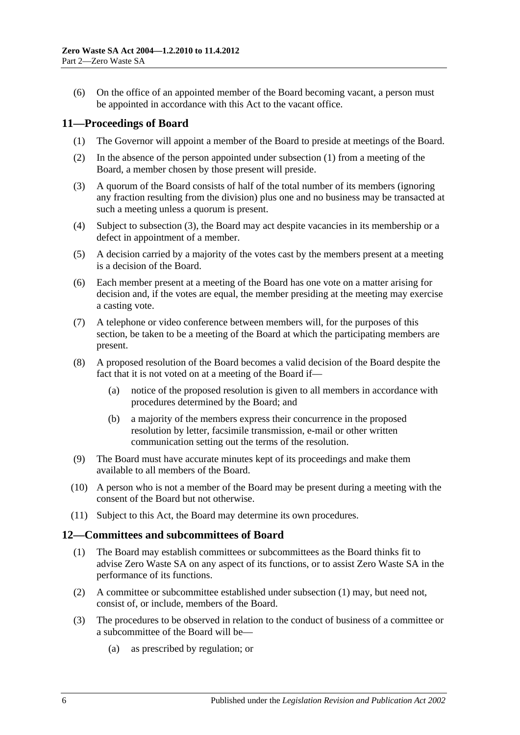(6) On the office of an appointed member of the Board becoming vacant, a person must be appointed in accordance with this Act to the vacant office.

#### <span id="page-5-2"></span><span id="page-5-0"></span>**11—Proceedings of Board**

- (1) The Governor will appoint a member of the Board to preside at meetings of the Board.
- (2) In the absence of the person appointed under [subsection](#page-5-2) (1) from a meeting of the Board, a member chosen by those present will preside.
- <span id="page-5-3"></span>(3) A quorum of the Board consists of half of the total number of its members (ignoring any fraction resulting from the division) plus one and no business may be transacted at such a meeting unless a quorum is present.
- (4) Subject to [subsection](#page-5-3) (3), the Board may act despite vacancies in its membership or a defect in appointment of a member.
- (5) A decision carried by a majority of the votes cast by the members present at a meeting is a decision of the Board.
- (6) Each member present at a meeting of the Board has one vote on a matter arising for decision and, if the votes are equal, the member presiding at the meeting may exercise a casting vote.
- (7) A telephone or video conference between members will, for the purposes of this section, be taken to be a meeting of the Board at which the participating members are present.
- (8) A proposed resolution of the Board becomes a valid decision of the Board despite the fact that it is not voted on at a meeting of the Board if—
	- (a) notice of the proposed resolution is given to all members in accordance with procedures determined by the Board; and
	- (b) a majority of the members express their concurrence in the proposed resolution by letter, facsimile transmission, e-mail or other written communication setting out the terms of the resolution.
- (9) The Board must have accurate minutes kept of its proceedings and make them available to all members of the Board.
- (10) A person who is not a member of the Board may be present during a meeting with the consent of the Board but not otherwise.
- (11) Subject to this Act, the Board may determine its own procedures.

#### <span id="page-5-4"></span><span id="page-5-1"></span>**12—Committees and subcommittees of Board**

- (1) The Board may establish committees or subcommittees as the Board thinks fit to advise Zero Waste SA on any aspect of its functions, or to assist Zero Waste SA in the performance of its functions.
- (2) A committee or subcommittee established under [subsection](#page-5-4) (1) may, but need not, consist of, or include, members of the Board.
- (3) The procedures to be observed in relation to the conduct of business of a committee or a subcommittee of the Board will be—
	- (a) as prescribed by regulation; or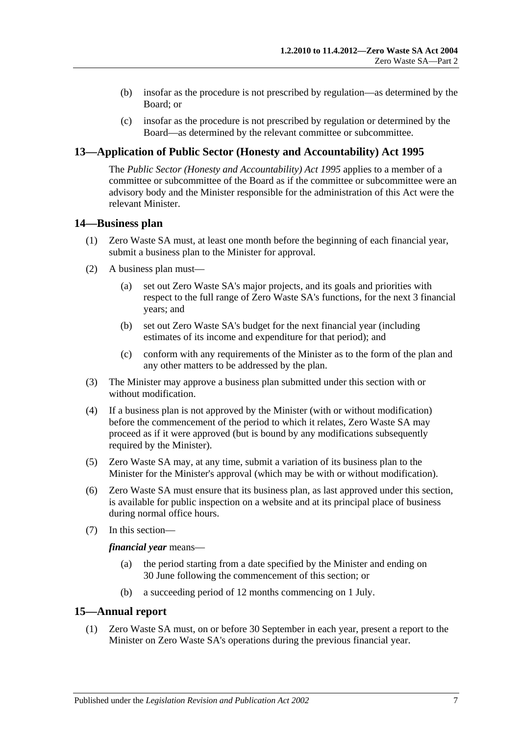- (b) insofar as the procedure is not prescribed by regulation—as determined by the Board; or
- (c) insofar as the procedure is not prescribed by regulation or determined by the Board—as determined by the relevant committee or subcommittee.

### <span id="page-6-0"></span>**13—Application of Public Sector (Honesty and Accountability) Act 1995**

The *[Public Sector \(Honesty and Accountability\) Act](http://www.legislation.sa.gov.au/index.aspx?action=legref&type=act&legtitle=Public%20Sector%20(Honesty%20and%20Accountability)%20Act%201995) 1995* applies to a member of a committee or subcommittee of the Board as if the committee or subcommittee were an advisory body and the Minister responsible for the administration of this Act were the relevant Minister.

#### <span id="page-6-1"></span>**14—Business plan**

- (1) Zero Waste SA must, at least one month before the beginning of each financial year, submit a business plan to the Minister for approval.
- (2) A business plan must—
	- (a) set out Zero Waste SA's major projects, and its goals and priorities with respect to the full range of Zero Waste SA's functions, for the next 3 financial years; and
	- (b) set out Zero Waste SA's budget for the next financial year (including estimates of its income and expenditure for that period); and
	- (c) conform with any requirements of the Minister as to the form of the plan and any other matters to be addressed by the plan.
- (3) The Minister may approve a business plan submitted under this section with or without modification.
- (4) If a business plan is not approved by the Minister (with or without modification) before the commencement of the period to which it relates, Zero Waste SA may proceed as if it were approved (but is bound by any modifications subsequently required by the Minister).
- (5) Zero Waste SA may, at any time, submit a variation of its business plan to the Minister for the Minister's approval (which may be with or without modification).
- (6) Zero Waste SA must ensure that its business plan, as last approved under this section, is available for public inspection on a website and at its principal place of business during normal office hours.
- (7) In this section—

*financial year* means—

- (a) the period starting from a date specified by the Minister and ending on 30 June following the commencement of this section; or
- (b) a succeeding period of 12 months commencing on 1 July.

#### <span id="page-6-2"></span>**15—Annual report**

(1) Zero Waste SA must, on or before 30 September in each year, present a report to the Minister on Zero Waste SA's operations during the previous financial year.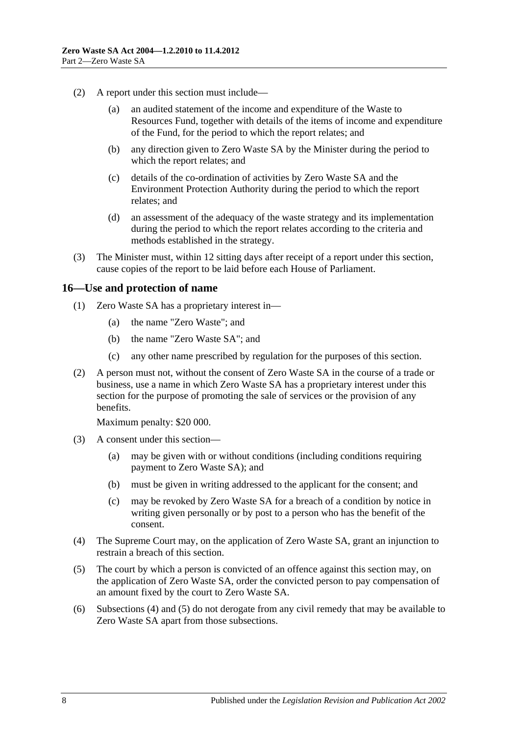- (2) A report under this section must include—
	- (a) an audited statement of the income and expenditure of the Waste to Resources Fund, together with details of the items of income and expenditure of the Fund, for the period to which the report relates; and
	- (b) any direction given to Zero Waste SA by the Minister during the period to which the report relates; and
	- (c) details of the co-ordination of activities by Zero Waste SA and the Environment Protection Authority during the period to which the report relates; and
	- (d) an assessment of the adequacy of the waste strategy and its implementation during the period to which the report relates according to the criteria and methods established in the strategy.
- (3) The Minister must, within 12 sitting days after receipt of a report under this section, cause copies of the report to be laid before each House of Parliament.

#### <span id="page-7-0"></span>**16—Use and protection of name**

- (1) Zero Waste SA has a proprietary interest in—
	- (a) the name "Zero Waste"; and
	- (b) the name "Zero Waste SA"; and
	- (c) any other name prescribed by regulation for the purposes of this section.
- (2) A person must not, without the consent of Zero Waste SA in the course of a trade or business, use a name in which Zero Waste SA has a proprietary interest under this section for the purpose of promoting the sale of services or the provision of any benefits.

Maximum penalty: \$20 000.

- (3) A consent under this section—
	- (a) may be given with or without conditions (including conditions requiring payment to Zero Waste SA); and
	- (b) must be given in writing addressed to the applicant for the consent; and
	- (c) may be revoked by Zero Waste SA for a breach of a condition by notice in writing given personally or by post to a person who has the benefit of the consent.
- <span id="page-7-1"></span>(4) The Supreme Court may, on the application of Zero Waste SA, grant an injunction to restrain a breach of this section.
- <span id="page-7-2"></span>(5) The court by which a person is convicted of an offence against this section may, on the application of Zero Waste SA, order the convicted person to pay compensation of an amount fixed by the court to Zero Waste SA.
- (6) [Subsections](#page-7-1) (4) and [\(5\)](#page-7-2) do not derogate from any civil remedy that may be available to Zero Waste SA apart from those subsections.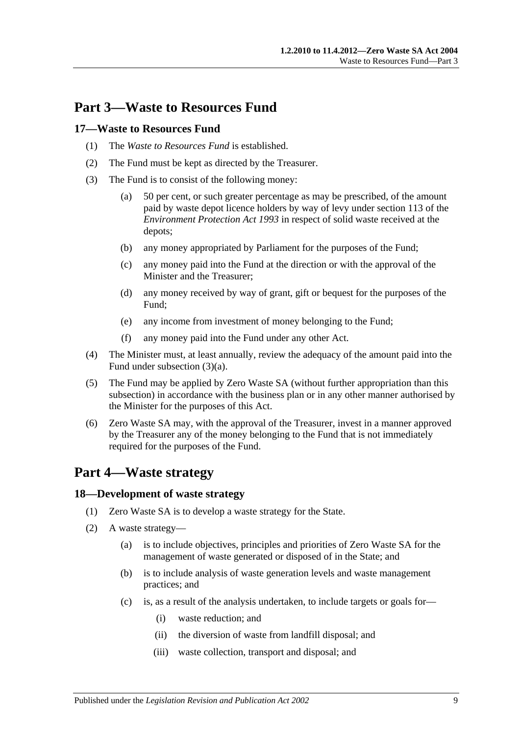# <span id="page-8-0"></span>**Part 3—Waste to Resources Fund**

#### <span id="page-8-1"></span>**17—Waste to Resources Fund**

- (1) The *Waste to Resources Fund* is established.
- (2) The Fund must be kept as directed by the Treasurer.
- (3) The Fund is to consist of the following money:
	- (a) 50 per cent, or such greater percentage as may be prescribed, of the amount paid by waste depot licence holders by way of levy under section 113 of the *[Environment Protection Act](http://www.legislation.sa.gov.au/index.aspx?action=legref&type=act&legtitle=Environment%20Protection%20Act%201993) 1993* in respect of solid waste received at the depots;
	- (b) any money appropriated by Parliament for the purposes of the Fund;
	- (c) any money paid into the Fund at the direction or with the approval of the Minister and the Treasurer;
	- (d) any money received by way of grant, gift or bequest for the purposes of the Fund;
	- (e) any income from investment of money belonging to the Fund;
	- (f) any money paid into the Fund under any other Act.
- (4) The Minister must, at least annually, review the adequacy of the amount paid into the Fund under subsection (3)(a).
- (5) The Fund may be applied by Zero Waste SA (without further appropriation than this subsection) in accordance with the business plan or in any other manner authorised by the Minister for the purposes of this Act.
- (6) Zero Waste SA may, with the approval of the Treasurer, invest in a manner approved by the Treasurer any of the money belonging to the Fund that is not immediately required for the purposes of the Fund.

# <span id="page-8-2"></span>**Part 4—Waste strategy**

#### <span id="page-8-3"></span>**18—Development of waste strategy**

- (1) Zero Waste SA is to develop a waste strategy for the State.
- (2) A waste strategy—
	- (a) is to include objectives, principles and priorities of Zero Waste SA for the management of waste generated or disposed of in the State; and
	- (b) is to include analysis of waste generation levels and waste management practices; and
	- (c) is, as a result of the analysis undertaken, to include targets or goals for—
		- (i) waste reduction; and
		- (ii) the diversion of waste from landfill disposal; and
		- (iii) waste collection, transport and disposal; and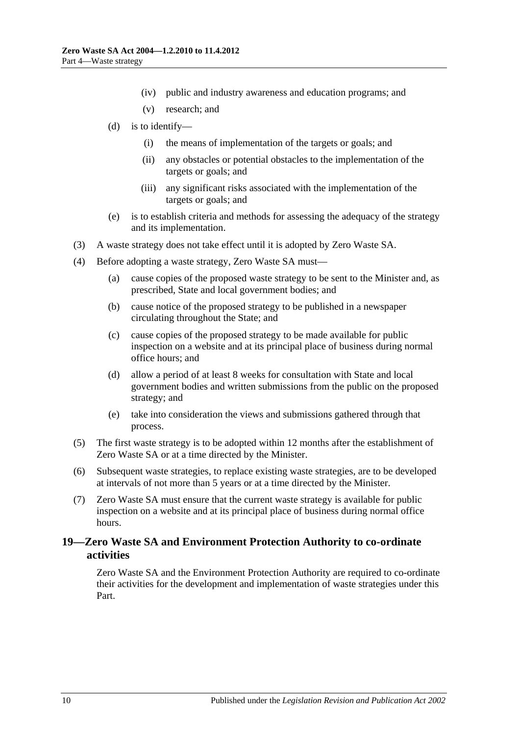- (iv) public and industry awareness and education programs; and
- (v) research; and
- (d) is to identify—
	- (i) the means of implementation of the targets or goals; and
	- (ii) any obstacles or potential obstacles to the implementation of the targets or goals; and
	- (iii) any significant risks associated with the implementation of the targets or goals; and
- (e) is to establish criteria and methods for assessing the adequacy of the strategy and its implementation.
- (3) A waste strategy does not take effect until it is adopted by Zero Waste SA.
- (4) Before adopting a waste strategy, Zero Waste SA must—
	- (a) cause copies of the proposed waste strategy to be sent to the Minister and, as prescribed, State and local government bodies; and
	- (b) cause notice of the proposed strategy to be published in a newspaper circulating throughout the State; and
	- (c) cause copies of the proposed strategy to be made available for public inspection on a website and at its principal place of business during normal office hours; and
	- (d) allow a period of at least 8 weeks for consultation with State and local government bodies and written submissions from the public on the proposed strategy; and
	- (e) take into consideration the views and submissions gathered through that process.
- (5) The first waste strategy is to be adopted within 12 months after the establishment of Zero Waste SA or at a time directed by the Minister.
- (6) Subsequent waste strategies, to replace existing waste strategies, are to be developed at intervals of not more than 5 years or at a time directed by the Minister.
- (7) Zero Waste SA must ensure that the current waste strategy is available for public inspection on a website and at its principal place of business during normal office hours.

#### <span id="page-9-0"></span>**19—Zero Waste SA and Environment Protection Authority to co-ordinate activities**

Zero Waste SA and the Environment Protection Authority are required to co-ordinate their activities for the development and implementation of waste strategies under this Part.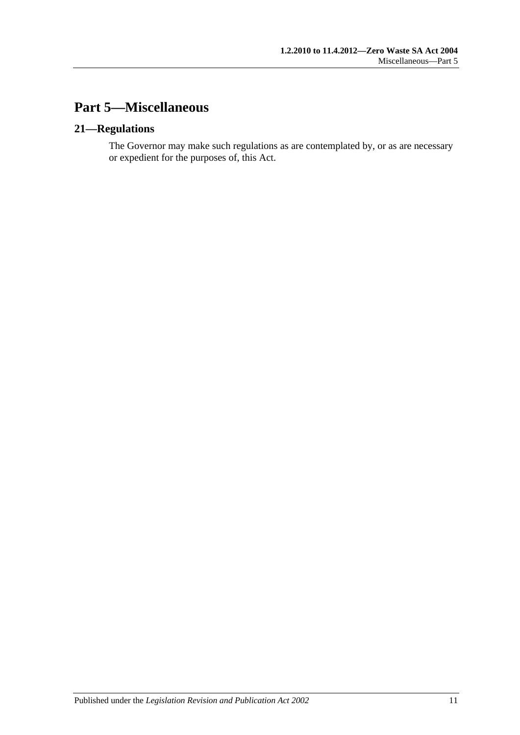# <span id="page-10-0"></span>**Part 5—Miscellaneous**

### <span id="page-10-1"></span>**21—Regulations**

The Governor may make such regulations as are contemplated by, or as are necessary or expedient for the purposes of, this Act.